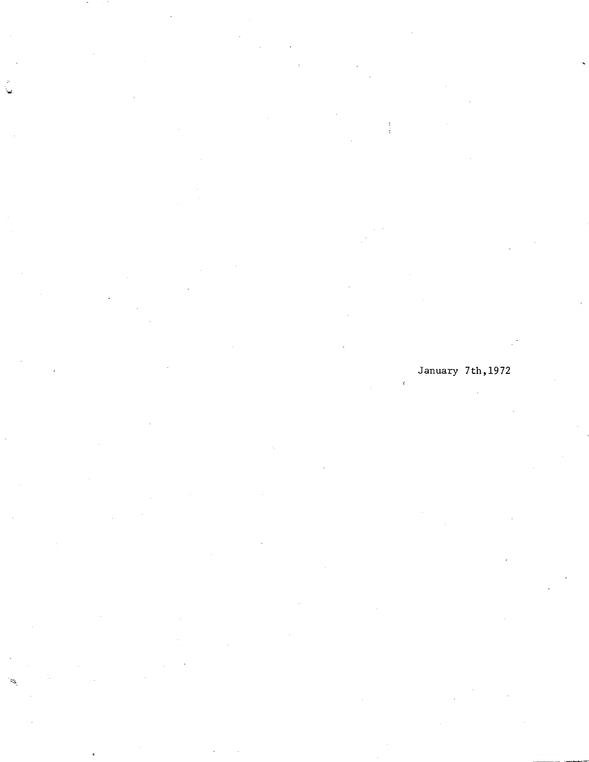January 7th,1972  $\mathcal{L}_{\mathcal{L}}$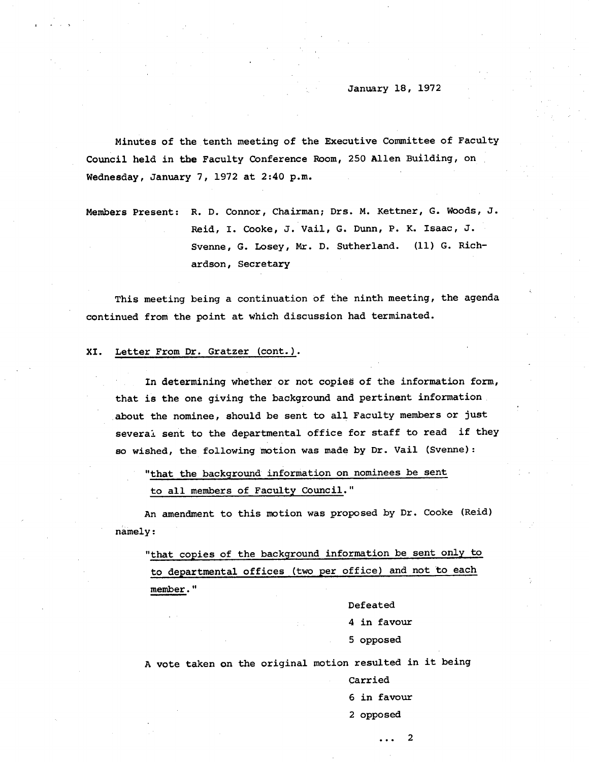Minutes of the tenth meeting of the Executive Committee of Faculty Council held in the Faculty Conference Room, 250 Allen Building, on Wednesday, January 7, 1972 at 2:40 p.m.

Members Present: R. D. Connor, Chairman; Drs. M. Kettner, G. Woods, J. Reid, I. Cooke, J. Vail, G. Dunn, P. K. Isaac, J. Svenne, G. Losey, Mr. D. Sutherland. (11) G. Richardson, Secretary

This meeting being a continuation of the ninth meeting, the agenda continued from the point at which discussion had terminated.

# XI. Letter From Dr. Gratzer (cont.).

In determining whether or not copies of the information form, that is the one giving the background and pertinent information about the nominee, should be sent to all Faculty members or just several sent to the departmental office for staff to read if they so wished, the following motion was made by Dr. Vail (Svenne):

"that the background information on nominees be sent to all members of Faculty Council."

An *amendment* to this motion was proposed by Dr. Cooke (Reid) namely:

"that copies of the background information be sent only to to departmental offices (two per office) and not to each member."

> Defeated 4 in favour

5 opposed

A vote taken on the original motion resulted in it being

Carried

6 in favour

 $\ddotsc$ 

2

2 opposed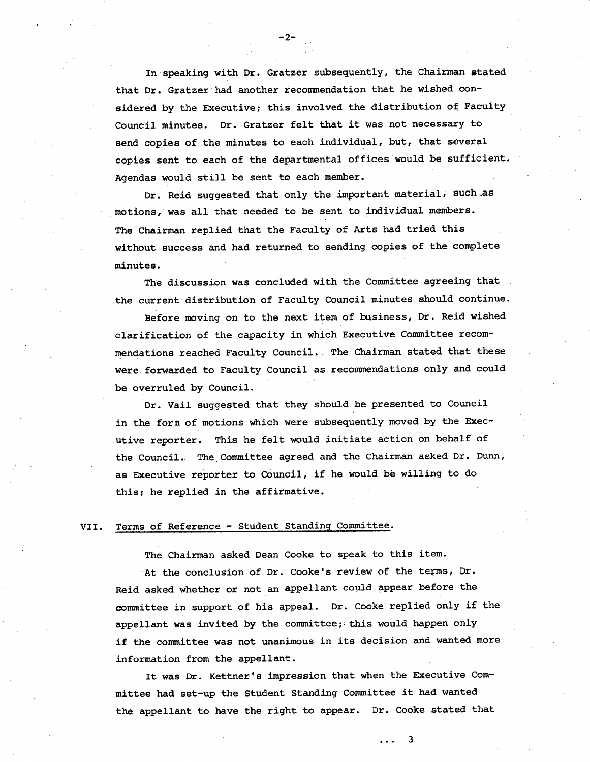In speaking with Dr. Gratzer subsequently, the Chairman stated that Dr. Gratzer had another recommendation that he wished considered by the Executive; this involved the distribution of Faculty Council minutes. Dr. Gratzer felt that it was not necessary to send copies of the minutes to each individual, but, that several copies sent to each of the departmental offices would be sufficient. Agendas would still be sent to each member.

 $-2-$ 

Dr. Reid suggested that only the important material, such as motions, was all that needed to be sent to individual members. The Chairman replied that the Faculty of Arts had tried this without success and had returned to sending copies of the complete minutes.

The discussion was concluded with the Committee agreeing that the current distribution of Faculty Council minutes should continue.

Before moving on to the next item of business, Dr. Reid wished clarification of the capacity in which Executive Committee recommendations reached Faculty Council. The Chairman stated that these were forwarded to Faculty Council as recommendations only and could be overruled by Council.

Dr. Vail suggested that they should be presented to Council in the form of motions which were subsequently moved by the Executive reporter. This he felt would initiate action on behalf of the Council. The Committee agreed and the Chairman asked Dr. Dunn, as Executive reporter to Council, if he would be willing to do this; he replied in the affirmative.

## VII. Terms of Reference - Student Standing Committee.

The Chairman asked Dean Cooke to speak to this item.

At the conclusion of Dr. Cooke's review of the terms, Dr. Reid asked whether or not an appellant could appear before the committee in support of his appeal. Dr. Cooke replied only if the appellant was invited by the committee; this would happen only if the committee was not unanimous in its decision and wanted more information from the appellant.

It was Dr. Kettner's impression that when the Executive Committee had set-up the Student Standing Committee it had wanted the appellant to have the right to appear. Dr. Cooke stated that

3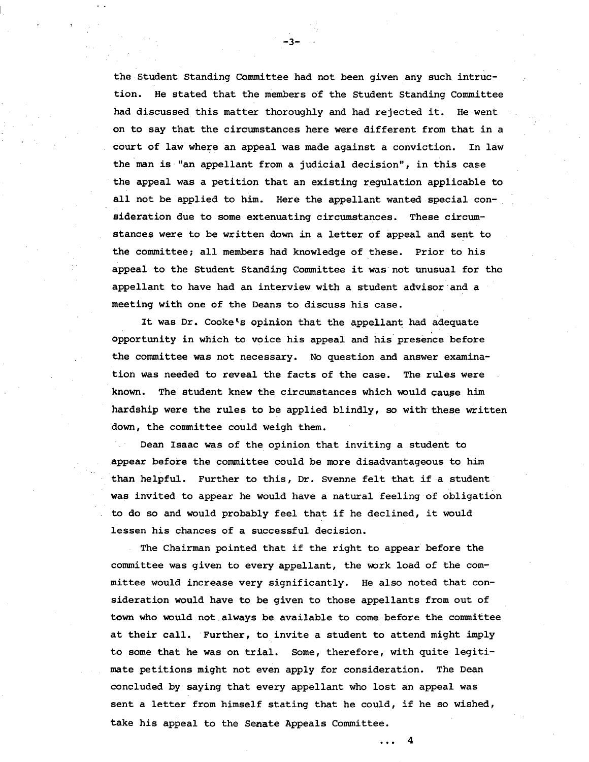the Student Standing Committee had not been given any such intruction. He stated that the members of the Student Standing Committee had discussed this matter thoroughly and had rejected it. He went on to say that the circumstances here were different from that in a court of law where an appeal was made against a conviction. In law the man is "an appellant from a judicial decision", in this case the appeal was a petition that an existing regulation applicable to all not be applied to him. Here the appellant wanted special consideration due to some extenuating circumstances. These circumstances were to be written down in a letter of appeal and sent to the committee; all members had knowledge of these. Prior to his appeal to the Student Standing Committee it was not unusual for the appellant to have had an interview with a student advisor and a meeting with one of the Deans to discuss his case.

-3-

It was Dr. Cooke's opinion that the appellant had adequate opportunity in which to voice his appeal and his presence before the committee was not necessary. No question and answer examination was needed to reveal the facts of the case. The rules were known. The student knew the circumstances which would cause him hardship were the rules to be applied blindly, so with these written down, the committee could weigh them.

Dean Isaac was of the opinion that inviting a student to appear before the committee could be more disadvantageous to him than helpful. Further to this, Dr. Svenne felt that if a student was invited to appear he would have a natural feeling of obligation to do so and would probably feel that if he declined, it would lessen his chances of a successful decision.

The Chairman pointed that if the right to appear before the committee was given to every appellant, the work load of the committee would increase very significantly. He also noted that consideration would have to be given to those appellants from out of town who would not always be available to come before the committee at their call. Further, to invite a student to attend might imply to some that he was on trial. Some, therefore, with quite legitimate petitions might not even apply for consideration. The Dean concluded by saying that every appellant who lost an appeal was sent a letter from himself stating that he could, if he so wished, take his appeal to the Serate Appeals Committee.

 $\overline{\mathbf{4}}$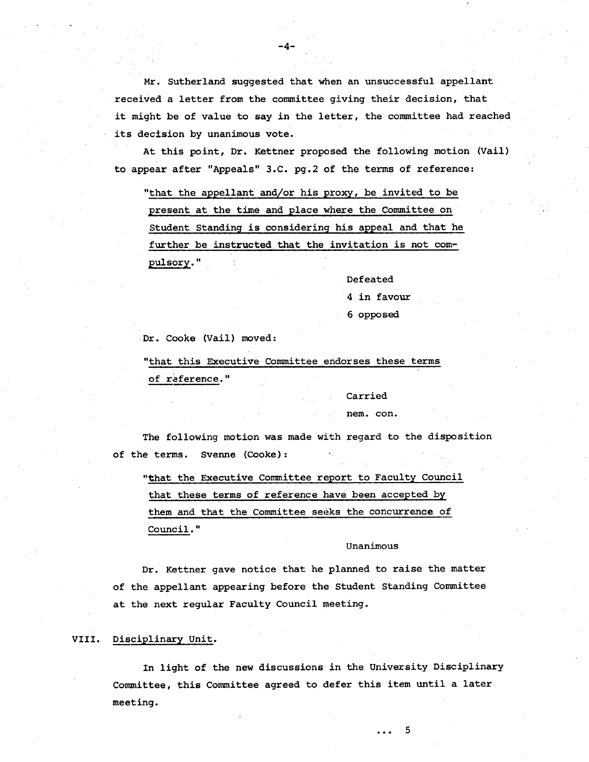Mr. Sutherland suggested that when an unsuccessful appellant received a letter from the committee giving their decision, that it might be of value to say in the letter, the committee had reached its decision by unanimous vote.

-4-

At this point, Dr. Xettner proposed the following motion (Vail) to appear after "Appeals" 3.C. pg.2 of the terms of reference:

"that the appellant and/or his proxy, be invited to be present at the time and place where the Committee on Student Standing is considering his appeal and that he further be instructed that the invitation is not compulsory."

Defeated

4 in favour

#### 6 opposed

Dr. Cooke (Vail) moved:

"that this Executive Committee endorses these terms of reference."

Carried

nem. con.

The following motion was made with regard to the disposition of the terms. Svenne (Cooke):

"that the Executive Committee report to Faculty Council that these terms of reference have been accepted by them and that the Committee seeks the concurrence of Council. "

#### Unanimous

5

 $\ddotsc$ 

Dr. Kettner gave notice that he planned to raise the matter of the appellant appearing before the Student Standing Committee at the next regular Faculty Council meeting.

#### VIII. Disciplinary Unit.

In light of the new discussions in the University Disciplinary Committee, this Committee agreed to defer this item until a later meeting.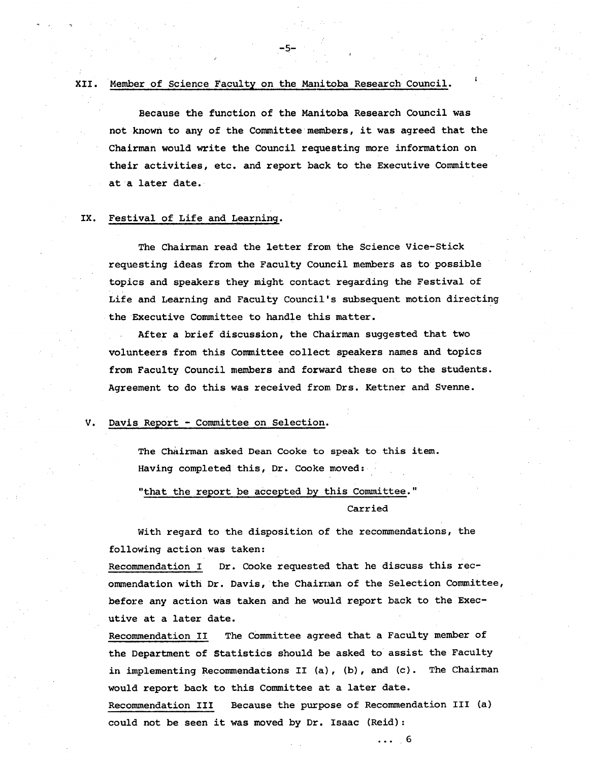## XII. Member of Science Faculty on the Manitoba Research Council.

-5-

Because the function of the Manitoba Research Council was not known to any of the Committee members, it was agreed that the Chairman would write the Council requesting more information on their activities, etc. and report back to the Executive Committee ata later date.

# IX. Festival of Life and Learning.

The Chairman read the letter from the Science Vice-Stick requesting ideas from the Faculty Council members as to possible topics and speakers they might contact regarding the Festival of Life and Learning and Faculty Council's subsequent motion directing the Executive Committee to handle this matter.

After a brief discussion, the Chairman suggested that two volunteers from this Committee collect speakers names and topics from Faculty Council members and forward these on to the students. Agreement to do this was received from Drs. Kettner and Svenne.

### V. Davis Report - Committee on Selection.

The Chairman asked Dean Cooke to speak to this item. Having completed this, Dr. Cooke moved:

# "that the report be accepted by this Committee."

Carried

 $\cdots$  6

With regard to the disposition of the recommendations, the following action was taken:

Recommendation I Dr. Cooke requested that he discuss this recommendation with Dr. Davis, the Chairman of the Selection Committee, before any action was taken and he would report back to the Executive at a later date.

Recommendation II The Committee agreed that a Faculty member of the Department of Statistics should be asked to assist the Faculty in implementing Recommendations II (a), (b), and (c). The Chairman would report back to this Committee at a later date. Recommendation III Because the purpose of Recommendation III (a) could not be seen it was moved by Dr. Isaac (Reid):